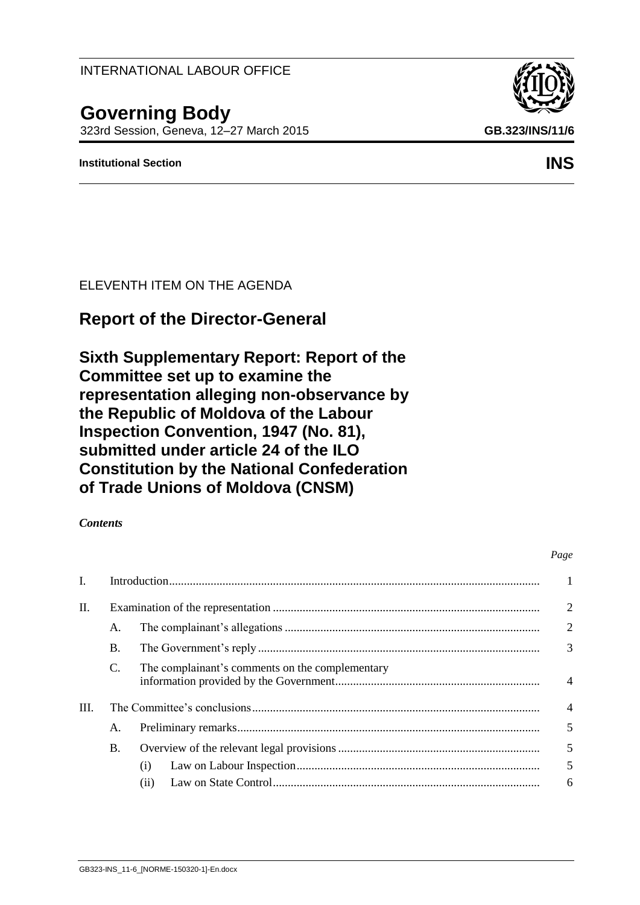# **Governing Body** 323rd Session, Geneva, 12–27 March 2015 **GB.323/INS/11/6**

# **Institutional Section INS**

ELEVENTH ITEM ON THE AGENDA

# **Report of the Director-General**

**Sixth Supplementary Report: Report of the Committee set up to examine the representation alleging non-observance by the Republic of Moldova of the Labour Inspection Convention, 1947 (No. 81), submitted under article 24 of the ILO Constitution by the National Confederation of Trade Unions of Moldova (CNSM)**

# *Contents*

| I.   |           |                                                 |                |  |  |
|------|-----------|-------------------------------------------------|----------------|--|--|
| П.   |           |                                                 |                |  |  |
|      | A.        |                                                 | $\overline{2}$ |  |  |
|      | <b>B.</b> |                                                 | 3              |  |  |
|      | C.        | The complainant's comments on the complementary | $\overline{4}$ |  |  |
| III. |           |                                                 |                |  |  |
|      | А.        |                                                 | 5              |  |  |
|      | <b>B.</b> |                                                 | $\overline{5}$ |  |  |
|      |           | (1)                                             | 5              |  |  |
|      |           | (ii)                                            | 6              |  |  |





#### *Page*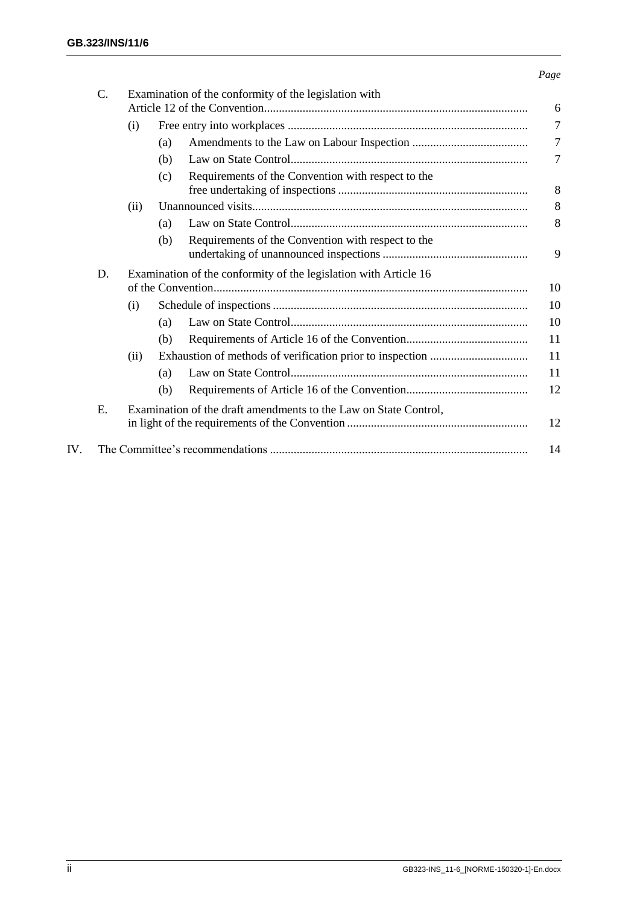#### *Page*

|     | C. | Examination of the conformity of the legislation with                  |                                                           |                |  |  |
|-----|----|------------------------------------------------------------------------|-----------------------------------------------------------|----------------|--|--|
|     |    | (i)                                                                    |                                                           | $\overline{7}$ |  |  |
|     |    |                                                                        | (a)                                                       | $\overline{7}$ |  |  |
|     |    |                                                                        | (b)                                                       | 7              |  |  |
|     |    |                                                                        | Requirements of the Convention with respect to the<br>(c) | 8              |  |  |
|     |    | (ii)                                                                   |                                                           | 8              |  |  |
|     |    |                                                                        | (a)                                                       | 8              |  |  |
|     |    |                                                                        | Requirements of the Convention with respect to the<br>(b) |                |  |  |
|     |    |                                                                        |                                                           | 9              |  |  |
|     | D. | Examination of the conformity of the legislation with Article 16<br>10 |                                                           |                |  |  |
|     |    | (i)                                                                    |                                                           | 10             |  |  |
|     |    |                                                                        | (a)                                                       | 10             |  |  |
|     |    |                                                                        | (b)                                                       | 11             |  |  |
|     |    | (ii)                                                                   |                                                           | 11             |  |  |
|     |    |                                                                        | (a)                                                       | 11             |  |  |
|     |    |                                                                        | (b)                                                       | 12             |  |  |
|     | Ε. | Examination of the draft amendments to the Law on State Control,       |                                                           |                |  |  |
|     |    |                                                                        |                                                           | 12             |  |  |
| IV. |    |                                                                        |                                                           |                |  |  |
|     |    |                                                                        |                                                           |                |  |  |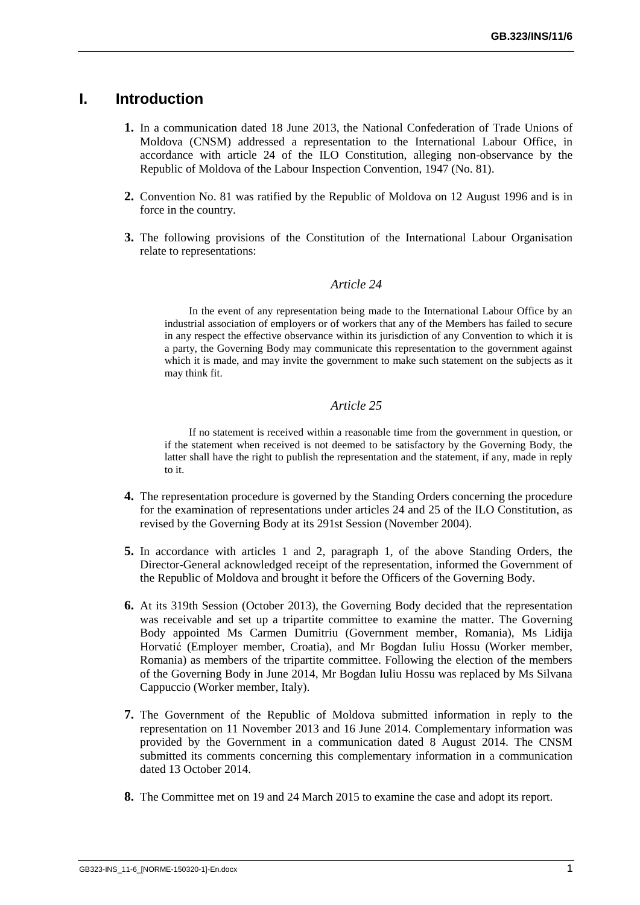# <span id="page-2-0"></span>**I. Introduction**

- **1.** In a communication dated 18 June 2013, the National Confederation of Trade Unions of Moldova (CNSM) addressed a representation to the International Labour Office, in accordance with article 24 of the ILO Constitution, alleging non-observance by the Republic of Moldova of the Labour Inspection Convention, 1947 (No. 81).
- **2.** Convention No. 81 was ratified by the Republic of Moldova on 12 August 1996 and is in force in the country.
- **3.** The following provisions of the Constitution of the International Labour Organisation relate to representations:

#### *Article 24*

In the event of any representation being made to the International Labour Office by an industrial association of employers or of workers that any of the Members has failed to secure in any respect the effective observance within its jurisdiction of any Convention to which it is a party, the Governing Body may communicate this representation to the government against which it is made, and may invite the government to make such statement on the subjects as it may think fit.

#### *Article 25*

If no statement is received within a reasonable time from the government in question, or if the statement when received is not deemed to be satisfactory by the Governing Body, the latter shall have the right to publish the representation and the statement, if any, made in reply to it.

- **4.** The representation procedure is governed by the Standing Orders concerning the procedure for the examination of representations under articles 24 and 25 of the ILO Constitution, as revised by the Governing Body at its 291st Session (November 2004).
- **5.** In accordance with articles 1 and 2, paragraph 1, of the above Standing Orders, the Director-General acknowledged receipt of the representation, informed the Government of the Republic of Moldova and brought it before the Officers of the Governing Body.
- **6.** At its 319th Session (October 2013), the Governing Body decided that the representation was receivable and set up a tripartite committee to examine the matter. The Governing Body appointed Ms Carmen Dumitriu (Government member, Romania), Ms Lidija Horvatić (Employer member, Croatia), and Mr Bogdan Iuliu Hossu (Worker member, Romania) as members of the tripartite committee. Following the election of the members of the Governing Body in June 2014, Mr Bogdan Iuliu Hossu was replaced by Ms Silvana Cappuccio (Worker member, Italy).
- **7.** The Government of the Republic of Moldova submitted information in reply to the representation on 11 November 2013 and 16 June 2014. Complementary information was provided by the Government in a communication dated 8 August 2014. The CNSM submitted its comments concerning this complementary information in a communication dated 13 October 2014.
- **8.** The Committee met on 19 and 24 March 2015 to examine the case and adopt its report.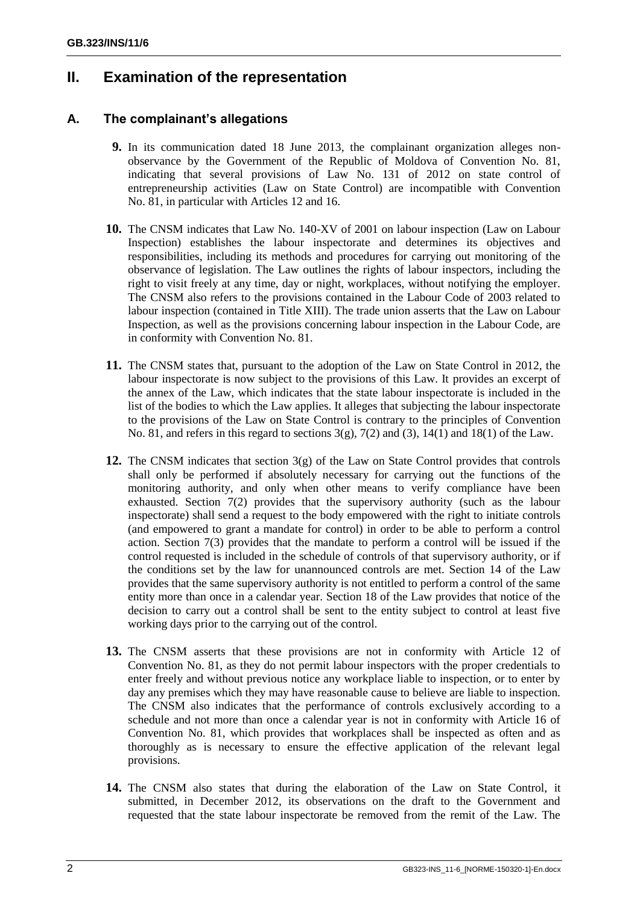# <span id="page-3-0"></span>**II. Examination of the representation**

# <span id="page-3-1"></span>**A. The complainant's allegations**

- **9.** In its communication dated 18 June 2013, the complainant organization alleges nonobservance by the Government of the Republic of Moldova of Convention No. 81, indicating that several provisions of Law No. 131 of 2012 on state control of entrepreneurship activities (Law on State Control) are incompatible with Convention No. 81, in particular with Articles 12 and 16.
- **10.** The CNSM indicates that Law No. 140-XV of 2001 on labour inspection (Law on Labour Inspection) establishes the labour inspectorate and determines its objectives and responsibilities, including its methods and procedures for carrying out monitoring of the observance of legislation. The Law outlines the rights of labour inspectors, including the right to visit freely at any time, day or night, workplaces, without notifying the employer. The CNSM also refers to the provisions contained in the Labour Code of 2003 related to labour inspection (contained in Title XIII). The trade union asserts that the Law on Labour Inspection, as well as the provisions concerning labour inspection in the Labour Code, are in conformity with Convention No. 81.
- **11.** The CNSM states that, pursuant to the adoption of the Law on State Control in 2012, the labour inspectorate is now subject to the provisions of this Law. It provides an excerpt of the annex of the Law, which indicates that the state labour inspectorate is included in the list of the bodies to which the Law applies. It alleges that subjecting the labour inspectorate to the provisions of the Law on State Control is contrary to the principles of Convention No. 81, and refers in this regard to sections  $3(g)$ ,  $7(2)$  and  $(3)$ ,  $14(1)$  and  $18(1)$  of the Law.
- **12.** The CNSM indicates that section 3(g) of the Law on State Control provides that controls shall only be performed if absolutely necessary for carrying out the functions of the monitoring authority, and only when other means to verify compliance have been exhausted. Section 7(2) provides that the supervisory authority (such as the labour inspectorate) shall send a request to the body empowered with the right to initiate controls (and empowered to grant a mandate for control) in order to be able to perform a control action. Section 7(3) provides that the mandate to perform a control will be issued if the control requested is included in the schedule of controls of that supervisory authority, or if the conditions set by the law for unannounced controls are met. Section 14 of the Law provides that the same supervisory authority is not entitled to perform a control of the same entity more than once in a calendar year. Section 18 of the Law provides that notice of the decision to carry out a control shall be sent to the entity subject to control at least five working days prior to the carrying out of the control.
- **13.** The CNSM asserts that these provisions are not in conformity with Article 12 of Convention No. 81, as they do not permit labour inspectors with the proper credentials to enter freely and without previous notice any workplace liable to inspection, or to enter by day any premises which they may have reasonable cause to believe are liable to inspection. The CNSM also indicates that the performance of controls exclusively according to a schedule and not more than once a calendar year is not in conformity with Article 16 of Convention No. 81, which provides that workplaces shall be inspected as often and as thoroughly as is necessary to ensure the effective application of the relevant legal provisions.
- **14.** The CNSM also states that during the elaboration of the Law on State Control, it submitted, in December 2012, its observations on the draft to the Government and requested that the state labour inspectorate be removed from the remit of the Law. The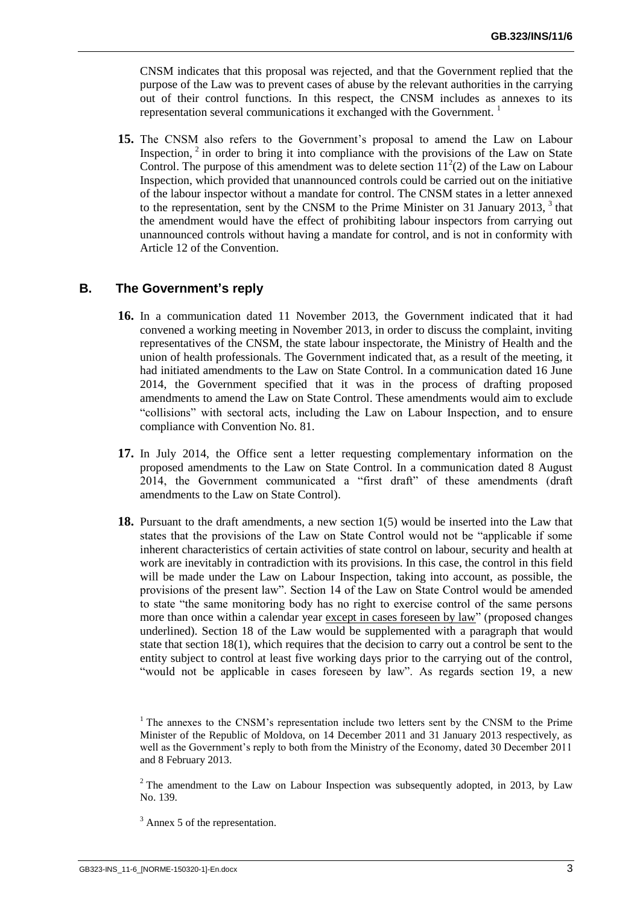CNSM indicates that this proposal was rejected, and that the Government replied that the purpose of the Law was to prevent cases of abuse by the relevant authorities in the carrying out of their control functions. In this respect, the CNSM includes as annexes to its representation several communications it exchanged with the Government.<sup>1</sup>

**15.** The CNSM also refers to the Government's proposal to amend the Law on Labour Inspection,  $2$  in order to bring it into compliance with the provisions of the Law on State Control. The purpose of this amendment was to delete section  $11<sup>2</sup>(2)$  of the Law on Labour Inspection, which provided that unannounced controls could be carried out on the initiative of the labour inspector without a mandate for control. The CNSM states in a letter annexed to the representation, sent by the CNSM to the Prime Minister on 31 January 2013,  $3$  that the amendment would have the effect of prohibiting labour inspectors from carrying out unannounced controls without having a mandate for control, and is not in conformity with Article 12 of the Convention.

#### <span id="page-4-0"></span>**B. The Government's reply**

- **16.** In a communication dated 11 November 2013, the Government indicated that it had convened a working meeting in November 2013, in order to discuss the complaint, inviting representatives of the CNSM, the state labour inspectorate, the Ministry of Health and the union of health professionals. The Government indicated that, as a result of the meeting, it had initiated amendments to the Law on State Control. In a communication dated 16 June 2014, the Government specified that it was in the process of drafting proposed amendments to amend the Law on State Control. These amendments would aim to exclude "collisions" with sectoral acts, including the Law on Labour Inspection, and to ensure compliance with Convention No. 81.
- **17.** In July 2014, the Office sent a letter requesting complementary information on the proposed amendments to the Law on State Control. In a communication dated 8 August 2014, the Government communicated a "first draft" of these amendments (draft amendments to the Law on State Control).
- **18.** Pursuant to the draft amendments, a new section 1(5) would be inserted into the Law that states that the provisions of the Law on State Control would not be "applicable if some inherent characteristics of certain activities of state control on labour, security and health at work are inevitably in contradiction with its provisions. In this case, the control in this field will be made under the Law on Labour Inspection, taking into account, as possible, the provisions of the present law". Section 14 of the Law on State Control would be amended to state "the same monitoring body has no right to exercise control of the same persons more than once within a calendar year except in cases foreseen by law" (proposed changes underlined). Section 18 of the Law would be supplemented with a paragraph that would state that section 18(1), which requires that the decision to carry out a control be sent to the entity subject to control at least five working days prior to the carrying out of the control, "would not be applicable in cases foreseen by law". As regards section 19, a new

 $2$ <sup>2</sup> The amendment to the Law on Labour Inspection was subsequently adopted, in 2013, by Law No. 139.

 $1$ <sup>1</sup> The annexes to the CNSM's representation include two letters sent by the CNSM to the Prime Minister of the Republic of Moldova, on 14 December 2011 and 31 January 2013 respectively, as well as the Government's reply to both from the Ministry of the Economy, dated 30 December 2011 and 8 February 2013.

<sup>&</sup>lt;sup>3</sup> Annex 5 of the representation.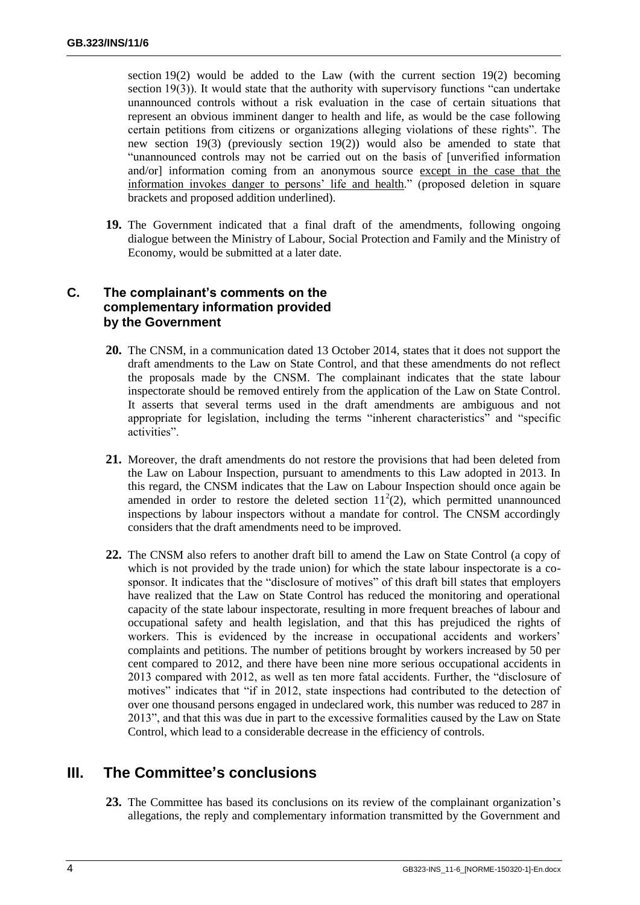section 19(2) would be added to the Law (with the current section 19(2) becoming section 19(3)). It would state that the authority with supervisory functions "can undertake unannounced controls without a risk evaluation in the case of certain situations that represent an obvious imminent danger to health and life, as would be the case following certain petitions from citizens or organizations alleging violations of these rights". The new section 19(3) (previously section 19(2)) would also be amended to state that "unannounced controls may not be carried out on the basis of [unverified information and/or] information coming from an anonymous source except in the case that the information invokes danger to persons' life and health." (proposed deletion in square brackets and proposed addition underlined).

**19.** The Government indicated that a final draft of the amendments, following ongoing dialogue between the Ministry of Labour, Social Protection and Family and the Ministry of Economy, would be submitted at a later date.

## <span id="page-5-0"></span>**C. The complainant's comments on the complementary information provided by the Government**

- **20.** The CNSM, in a communication dated 13 October 2014, states that it does not support the draft amendments to the Law on State Control, and that these amendments do not reflect the proposals made by the CNSM. The complainant indicates that the state labour inspectorate should be removed entirely from the application of the Law on State Control. It asserts that several terms used in the draft amendments are ambiguous and not appropriate for legislation, including the terms "inherent characteristics" and "specific activities".
- **21.** Moreover, the draft amendments do not restore the provisions that had been deleted from the Law on Labour Inspection, pursuant to amendments to this Law adopted in 2013. In this regard, the CNSM indicates that the Law on Labour Inspection should once again be amended in order to restore the deleted section  $11<sup>2</sup>(2)$ , which permitted unannounced inspections by labour inspectors without a mandate for control. The CNSM accordingly considers that the draft amendments need to be improved.
- **22.** The CNSM also refers to another draft bill to amend the Law on State Control (a copy of which is not provided by the trade union) for which the state labour inspectorate is a cosponsor. It indicates that the "disclosure of motives" of this draft bill states that employers have realized that the Law on State Control has reduced the monitoring and operational capacity of the state labour inspectorate, resulting in more frequent breaches of labour and occupational safety and health legislation, and that this has prejudiced the rights of workers. This is evidenced by the increase in occupational accidents and workers' complaints and petitions. The number of petitions brought by workers increased by 50 per cent compared to 2012, and there have been nine more serious occupational accidents in 2013 compared with 2012, as well as ten more fatal accidents. Further, the "disclosure of motives" indicates that "if in 2012, state inspections had contributed to the detection of over one thousand persons engaged in undeclared work, this number was reduced to 287 in 2013", and that this was due in part to the excessive formalities caused by the Law on State Control, which lead to a considerable decrease in the efficiency of controls.

# <span id="page-5-1"></span>**III. The Committee's conclusions**

**23.** The Committee has based its conclusions on its review of the complainant organization's allegations, the reply and complementary information transmitted by the Government and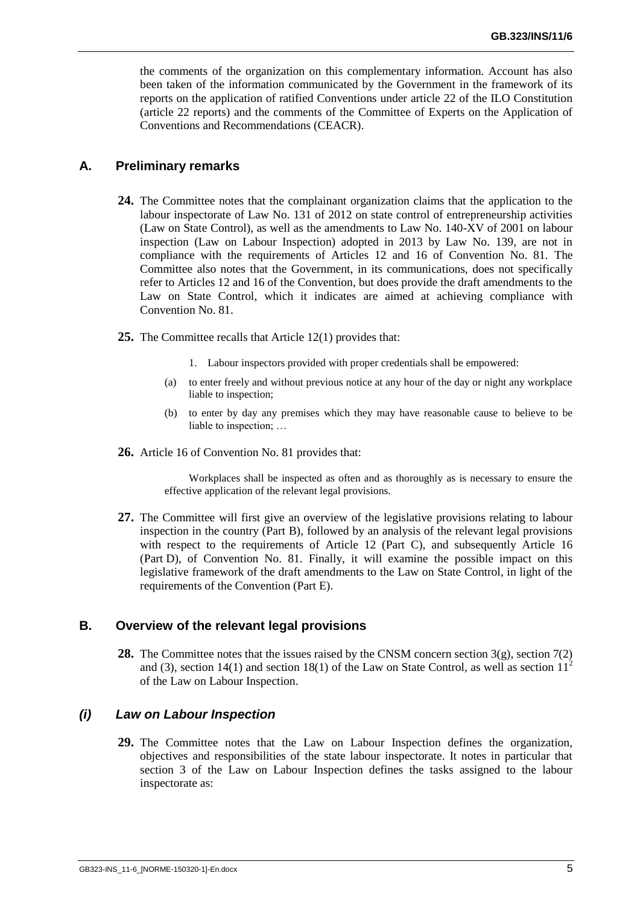the comments of the organization on this complementary information. Account has also been taken of the information communicated by the Government in the framework of its reports on the application of ratified Conventions under article 22 of the ILO Constitution (article 22 reports) and the comments of the Committee of Experts on the Application of Conventions and Recommendations (CEACR).

#### <span id="page-6-0"></span>**A. Preliminary remarks**

- **24.** The Committee notes that the complainant organization claims that the application to the labour inspectorate of Law No. 131 of 2012 on state control of entrepreneurship activities (Law on State Control), as well as the amendments to Law No. 140-XV of 2001 on labour inspection (Law on Labour Inspection) adopted in 2013 by Law No. 139, are not in compliance with the requirements of Articles 12 and 16 of Convention No. 81. The Committee also notes that the Government, in its communications, does not specifically refer to Articles 12 and 16 of the Convention, but does provide the draft amendments to the Law on State Control, which it indicates are aimed at achieving compliance with Convention No. 81.
- **25.** The Committee recalls that Article 12(1) provides that:
	- 1. Labour inspectors provided with proper credentials shall be empowered:
	- (a) to enter freely and without previous notice at any hour of the day or night any workplace liable to inspection;
	- (b) to enter by day any premises which they may have reasonable cause to believe to be liable to inspection; …
- **26.** Article 16 of Convention No. 81 provides that:

Workplaces shall be inspected as often and as thoroughly as is necessary to ensure the effective application of the relevant legal provisions.

**27.** The Committee will first give an overview of the legislative provisions relating to labour inspection in the country (Part B), followed by an analysis of the relevant legal provisions with respect to the requirements of Article 12 (Part C), and subsequently Article 16 (Part D), of Convention No. 81. Finally, it will examine the possible impact on this legislative framework of the draft amendments to the Law on State Control, in light of the requirements of the Convention (Part E).

#### <span id="page-6-1"></span>**B. Overview of the relevant legal provisions**

**28.** The Committee notes that the issues raised by the CNSM concern section 3(g), section 7(2) and (3), section 14(1) and section 18(1) of the Law on State Control, as well as section  $11<sup>2</sup>$ of the Law on Labour Inspection.

#### <span id="page-6-2"></span>*(i) Law on Labour Inspection*

**29.** The Committee notes that the Law on Labour Inspection defines the organization, objectives and responsibilities of the state labour inspectorate. It notes in particular that section 3 of the Law on Labour Inspection defines the tasks assigned to the labour inspectorate as: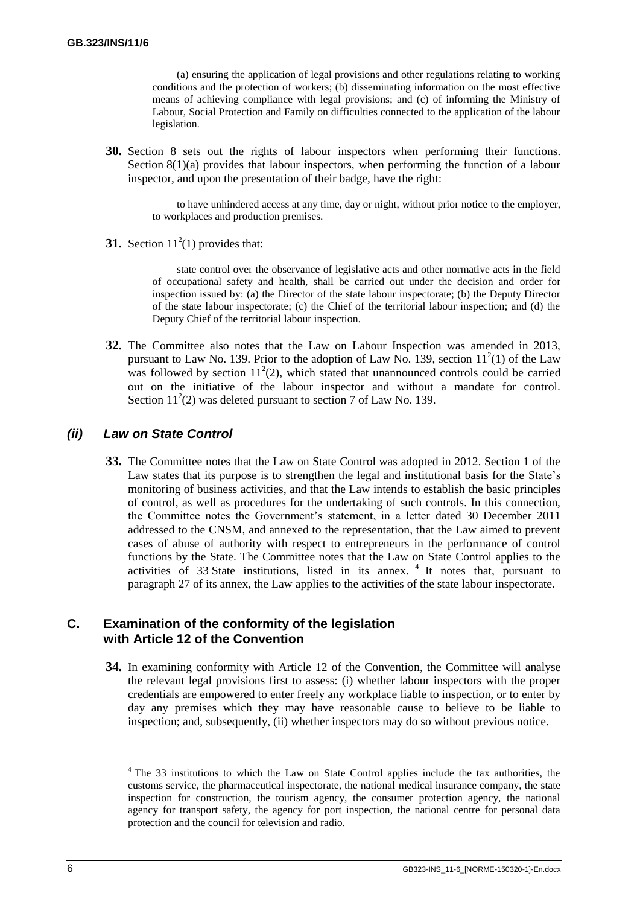(a) ensuring the application of legal provisions and other regulations relating to working conditions and the protection of workers; (b) disseminating information on the most effective means of achieving compliance with legal provisions; and (c) of informing the Ministry of Labour, Social Protection and Family on difficulties connected to the application of the labour legislation.

**30.** Section 8 sets out the rights of labour inspectors when performing their functions. Section 8(1)(a) provides that labour inspectors, when performing the function of a labour inspector, and upon the presentation of their badge, have the right:

> to have unhindered access at any time, day or night, without prior notice to the employer, to workplaces and production premises.

**31.** Section  $11^2(1)$  provides that:

state control over the observance of legislative acts and other normative acts in the field of occupational safety and health, shall be carried out under the decision and order for inspection issued by: (a) the Director of the state labour inspectorate; (b) the Deputy Director of the state labour inspectorate; (c) the Chief of the territorial labour inspection; and (d) the Deputy Chief of the territorial labour inspection.

**32.** The Committee also notes that the Law on Labour Inspection was amended in 2013, pursuant to Law No. 139. Prior to the adoption of Law No. 139, section  $11^2(1)$  of the Law was followed by section  $11^2(2)$ , which stated that unannounced controls could be carried out on the initiative of the labour inspector and without a mandate for control. Section  $11<sup>2</sup>(2)$  was deleted pursuant to section 7 of Law No. 139.

#### <span id="page-7-0"></span>*(ii) Law on State Control*

**33.** The Committee notes that the Law on State Control was adopted in 2012. Section 1 of the Law states that its purpose is to strengthen the legal and institutional basis for the State's monitoring of business activities, and that the Law intends to establish the basic principles of control, as well as procedures for the undertaking of such controls. In this connection, the Committee notes the Government's statement, in a letter dated 30 December 2011 addressed to the CNSM, and annexed to the representation, that the Law aimed to prevent cases of abuse of authority with respect to entrepreneurs in the performance of control functions by the State. The Committee notes that the Law on State Control applies to the activities of  $33$  State institutions, listed in its annex.  $4$  It notes that, pursuant to paragraph 27 of its annex, the Law applies to the activities of the state labour inspectorate.

### <span id="page-7-1"></span>**C. Examination of the conformity of the legislation with Article 12 of the Convention**

**34.** In examining conformity with Article 12 of the Convention, the Committee will analyse the relevant legal provisions first to assess: (i) whether labour inspectors with the proper credentials are empowered to enter freely any workplace liable to inspection, or to enter by day any premises which they may have reasonable cause to believe to be liable to inspection; and, subsequently, (ii) whether inspectors may do so without previous notice.

<sup>&</sup>lt;sup>4</sup> The 33 institutions to which the Law on State Control applies include the tax authorities, the customs service, the pharmaceutical inspectorate, the national medical insurance company, the state inspection for construction, the tourism agency, the consumer protection agency, the national agency for transport safety, the agency for port inspection, the national centre for personal data protection and the council for television and radio.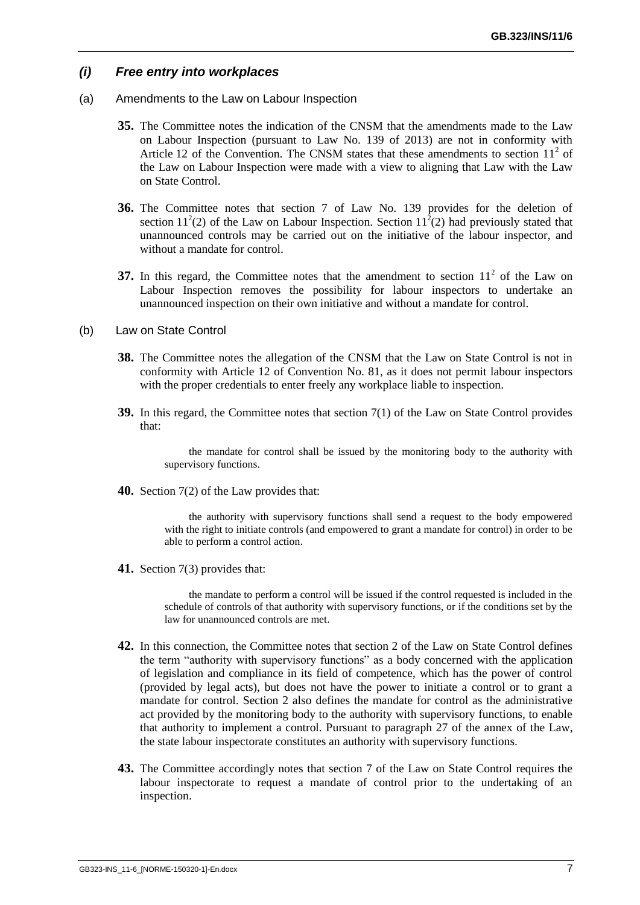#### <span id="page-8-0"></span>*(i) Free entry into workplaces*

- <span id="page-8-1"></span>(a) Amendments to the Law on Labour Inspection
	- **35.** The Committee notes the indication of the CNSM that the amendments made to the Law on Labour Inspection (pursuant to Law No. 139 of 2013) are not in conformity with Article 12 of the Convention. The CNSM states that these amendments to section  $11<sup>2</sup>$  of the Law on Labour Inspection were made with a view to aligning that Law with the Law on State Control.
	- **36.** The Committee notes that section 7 of Law No. 139 provides for the deletion of section 11<sup>2</sup>(2) of the Law on Labour Inspection. Section 11<sup>2</sup>(2) had previously stated that unannounced controls may be carried out on the initiative of the labour inspector, and without a mandate for control.
	- **37.** In this regard, the Committee notes that the amendment to section  $11<sup>2</sup>$  of the Law on Labour Inspection removes the possibility for labour inspectors to undertake an unannounced inspection on their own initiative and without a mandate for control.
- <span id="page-8-2"></span>(b) Law on State Control
	- **38.** The Committee notes the allegation of the CNSM that the Law on State Control is not in conformity with Article 12 of Convention No. 81, as it does not permit labour inspectors with the proper credentials to enter freely any workplace liable to inspection.
	- **39.** In this regard, the Committee notes that section 7(1) of the Law on State Control provides that:

the mandate for control shall be issued by the monitoring body to the authority with supervisory functions.

**40.** Section 7(2) of the Law provides that:

the authority with supervisory functions shall send a request to the body empowered with the right to initiate controls (and empowered to grant a mandate for control) in order to be able to perform a control action.

**41.** Section 7(3) provides that:

the mandate to perform a control will be issued if the control requested is included in the schedule of controls of that authority with supervisory functions, or if the conditions set by the law for unannounced controls are met.

- **42.** In this connection, the Committee notes that section 2 of the Law on State Control defines the term "authority with supervisory functions" as a body concerned with the application of legislation and compliance in its field of competence, which has the power of control (provided by legal acts), but does not have the power to initiate a control or to grant a mandate for control. Section 2 also defines the mandate for control as the administrative act provided by the monitoring body to the authority with supervisory functions, to enable that authority to implement a control. Pursuant to paragraph 27 of the annex of the Law, the state labour inspectorate constitutes an authority with supervisory functions.
- **43.** The Committee accordingly notes that section 7 of the Law on State Control requires the labour inspectorate to request a mandate of control prior to the undertaking of an inspection.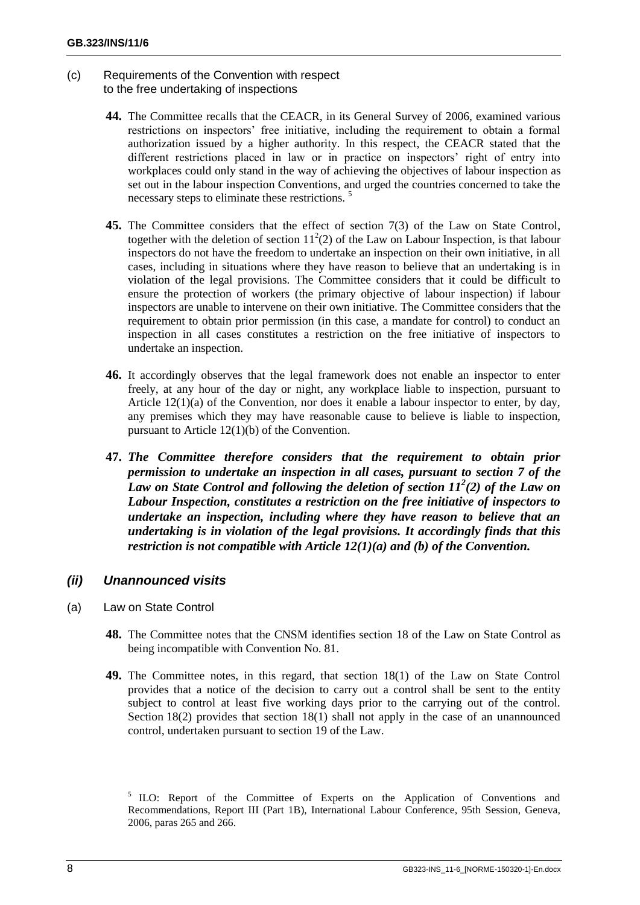#### <span id="page-9-0"></span>(c) Requirements of the Convention with respect to the free undertaking of inspections

- **44.** The Committee recalls that the CEACR, in its General Survey of 2006, examined various restrictions on inspectors' free initiative, including the requirement to obtain a formal authorization issued by a higher authority. In this respect, the CEACR stated that the different restrictions placed in law or in practice on inspectors' right of entry into workplaces could only stand in the way of achieving the objectives of labour inspection as set out in the labour inspection Conventions, and urged the countries concerned to take the necessary steps to eliminate these restrictions.<sup>5</sup>
- **45.** The Committee considers that the effect of section 7(3) of the Law on State Control, together with the deletion of section  $11^2(2)$  of the Law on Labour Inspection, is that labour inspectors do not have the freedom to undertake an inspection on their own initiative, in all cases, including in situations where they have reason to believe that an undertaking is in violation of the legal provisions. The Committee considers that it could be difficult to ensure the protection of workers (the primary objective of labour inspection) if labour inspectors are unable to intervene on their own initiative. The Committee considers that the requirement to obtain prior permission (in this case, a mandate for control) to conduct an inspection in all cases constitutes a restriction on the free initiative of inspectors to undertake an inspection.
- **46.** It accordingly observes that the legal framework does not enable an inspector to enter freely, at any hour of the day or night, any workplace liable to inspection, pursuant to Article  $12(1)(a)$  of the Convention, nor does it enable a labour inspector to enter, by day, any premises which they may have reasonable cause to believe is liable to inspection, pursuant to Article 12(1)(b) of the Convention.
- **47.** *The Committee therefore considers that the requirement to obtain prior permission to undertake an inspection in all cases, pursuant to section 7 of the Law on State Control and following the deletion of section 11<sup>2</sup> (2) of the Law on Labour Inspection, constitutes a restriction on the free initiative of inspectors to undertake an inspection, including where they have reason to believe that an undertaking is in violation of the legal provisions. It accordingly finds that this restriction is not compatible with Article 12(1)(a) and (b) of the Convention.*

# <span id="page-9-1"></span>*(ii) Unannounced visits*

- <span id="page-9-2"></span>(a) Law on State Control
	- **48.** The Committee notes that the CNSM identifies section 18 of the Law on State Control as being incompatible with Convention No. 81.
	- **49.** The Committee notes, in this regard, that section 18(1) of the Law on State Control provides that a notice of the decision to carry out a control shall be sent to the entity subject to control at least five working days prior to the carrying out of the control. Section 18(2) provides that section 18(1) shall not apply in the case of an unannounced control, undertaken pursuant to section 19 of the Law.

<sup>&</sup>lt;sup>5</sup> ILO: Report of the Committee of Experts on the Application of Conventions and Recommendations, Report III (Part 1B), International Labour Conference, 95th Session, Geneva, 2006, paras 265 and 266.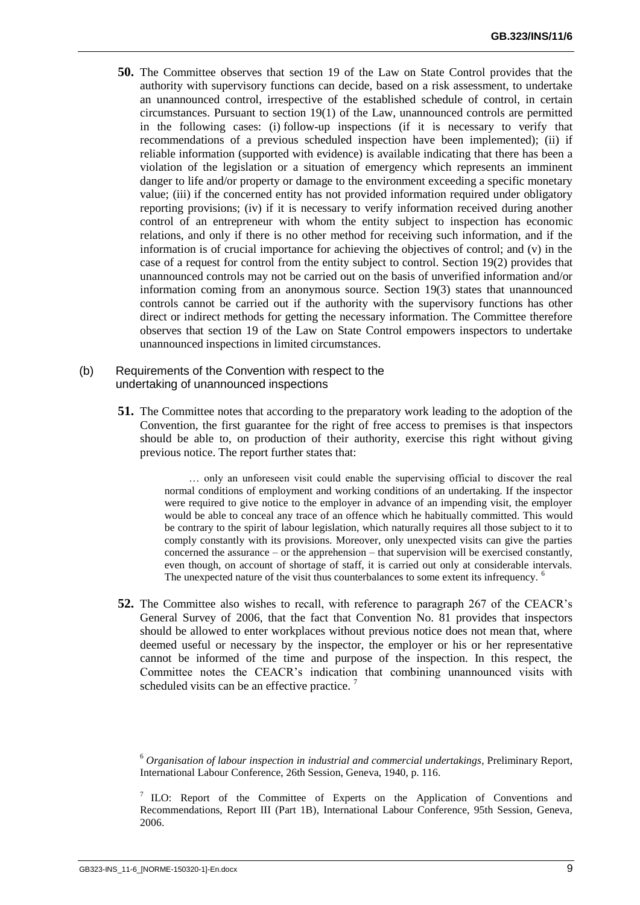**50.** The Committee observes that section 19 of the Law on State Control provides that the authority with supervisory functions can decide, based on a risk assessment, to undertake an unannounced control, irrespective of the established schedule of control, in certain circumstances. Pursuant to section 19(1) of the Law, unannounced controls are permitted in the following cases: (i) follow-up inspections (if it is necessary to verify that recommendations of a previous scheduled inspection have been implemented); (ii) if reliable information (supported with evidence) is available indicating that there has been a violation of the legislation or a situation of emergency which represents an imminent danger to life and/or property or damage to the environment exceeding a specific monetary value; (iii) if the concerned entity has not provided information required under obligatory reporting provisions; (iv) if it is necessary to verify information received during another control of an entrepreneur with whom the entity subject to inspection has economic relations, and only if there is no other method for receiving such information, and if the information is of crucial importance for achieving the objectives of control; and (v) in the case of a request for control from the entity subject to control. Section 19(2) provides that unannounced controls may not be carried out on the basis of unverified information and/or information coming from an anonymous source. Section 19(3) states that unannounced controls cannot be carried out if the authority with the supervisory functions has other direct or indirect methods for getting the necessary information. The Committee therefore observes that section 19 of the Law on State Control empowers inspectors to undertake unannounced inspections in limited circumstances.

#### <span id="page-10-0"></span>(b) Requirements of the Convention with respect to the undertaking of unannounced inspections

**51.** The Committee notes that according to the preparatory work leading to the adoption of the Convention, the first guarantee for the right of free access to premises is that inspectors should be able to, on production of their authority, exercise this right without giving previous notice. The report further states that:

> … only an unforeseen visit could enable the supervising official to discover the real normal conditions of employment and working conditions of an undertaking. If the inspector were required to give notice to the employer in advance of an impending visit, the employer would be able to conceal any trace of an offence which he habitually committed. This would be contrary to the spirit of labour legislation, which naturally requires all those subject to it to comply constantly with its provisions. Moreover, only unexpected visits can give the parties concerned the assurance – or the apprehension – that supervision will be exercised constantly, even though, on account of shortage of staff, it is carried out only at considerable intervals. The unexpected nature of the visit thus counterbalances to some extent its infrequency.<sup>6</sup>

**52.** The Committee also wishes to recall, with reference to paragraph 267 of the CEACR's General Survey of 2006, that the fact that Convention No. 81 provides that inspectors should be allowed to enter workplaces without previous notice does not mean that, where deemed useful or necessary by the inspector, the employer or his or her representative cannot be informed of the time and purpose of the inspection. In this respect, the Committee notes the CEACR's indication that combining unannounced visits with scheduled visits can be an effective practice.<sup>7</sup>

<sup>6</sup> *Organisation of labour inspection in industrial and commercial undertakings*, Preliminary Report, International Labour Conference, 26th Session, Geneva, 1940, p. 116.

<sup>7</sup> ILO: Report of the Committee of Experts on the Application of Conventions and Recommendations, Report III (Part 1B), International Labour Conference, 95th Session, Geneva, 2006.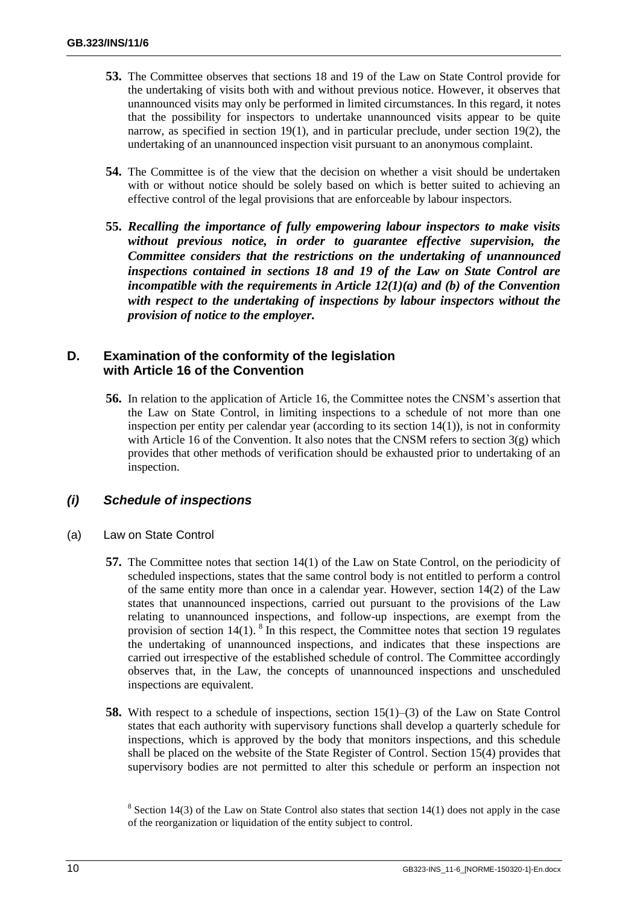- **53.** The Committee observes that sections 18 and 19 of the Law on State Control provide for the undertaking of visits both with and without previous notice. However, it observes that unannounced visits may only be performed in limited circumstances. In this regard, it notes that the possibility for inspectors to undertake unannounced visits appear to be quite narrow, as specified in section 19(1), and in particular preclude, under section 19(2), the undertaking of an unannounced inspection visit pursuant to an anonymous complaint.
- **54.** The Committee is of the view that the decision on whether a visit should be undertaken with or without notice should be solely based on which is better suited to achieving an effective control of the legal provisions that are enforceable by labour inspectors.
- **55.** *Recalling the importance of fully empowering labour inspectors to make visits without previous notice, in order to guarantee effective supervision, the Committee considers that the restrictions on the undertaking of unannounced inspections contained in sections 18 and 19 of the Law on State Control are incompatible with the requirements in Article 12(1)(a) and (b) of the Convention with respect to the undertaking of inspections by labour inspectors without the provision of notice to the employer.*

## <span id="page-11-0"></span>**D. Examination of the conformity of the legislation with Article 16 of the Convention**

**56.** In relation to the application of Article 16, the Committee notes the CNSM's assertion that the Law on State Control, in limiting inspections to a schedule of not more than one inspection per entity per calendar year (according to its section 14(1)), is not in conformity with Article 16 of the Convention. It also notes that the CNSM refers to section  $3(g)$  which provides that other methods of verification should be exhausted prior to undertaking of an inspection.

### <span id="page-11-1"></span>*(i) Schedule of inspections*

- <span id="page-11-2"></span>(a) Law on State Control
	- **57.** The Committee notes that section 14(1) of the Law on State Control, on the periodicity of scheduled inspections, states that the same control body is not entitled to perform a control of the same entity more than once in a calendar year. However, section 14(2) of the Law states that unannounced inspections, carried out pursuant to the provisions of the Law relating to unannounced inspections, and follow-up inspections, are exempt from the provision of section  $14(1)$ . <sup>8</sup> In this respect, the Committee notes that section 19 regulates the undertaking of unannounced inspections, and indicates that these inspections are carried out irrespective of the established schedule of control. The Committee accordingly observes that, in the Law, the concepts of unannounced inspections and unscheduled inspections are equivalent.
	- **58.** With respect to a schedule of inspections, section 15(1)–(3) of the Law on State Control states that each authority with supervisory functions shall develop a quarterly schedule for inspections, which is approved by the body that monitors inspections, and this schedule shall be placed on the website of the State Register of Control. Section 15(4) provides that supervisory bodies are not permitted to alter this schedule or perform an inspection not

<sup>&</sup>lt;sup>8</sup> Section 14(3) of the Law on State Control also states that section 14(1) does not apply in the case of the reorganization or liquidation of the entity subject to control.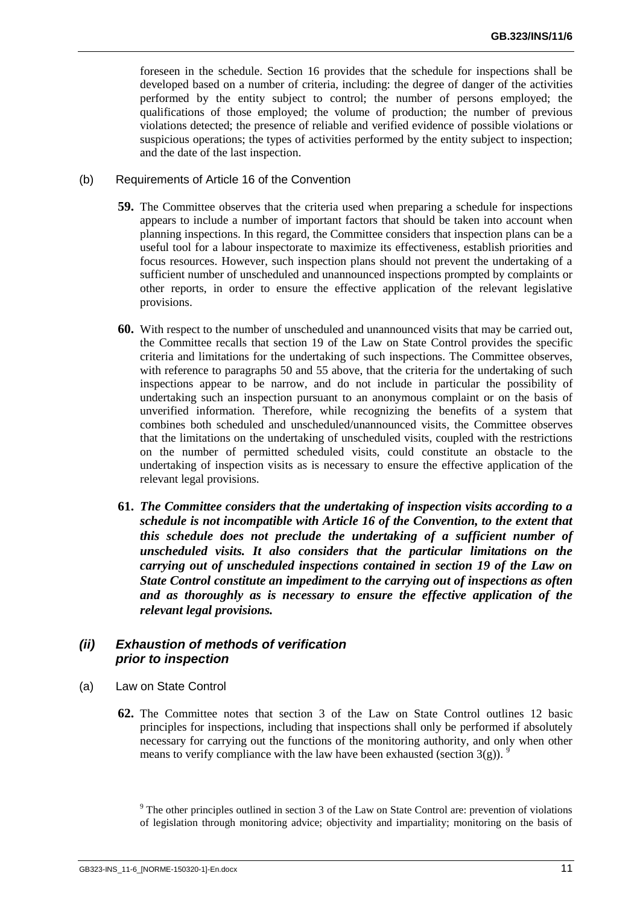foreseen in the schedule. Section 16 provides that the schedule for inspections shall be developed based on a number of criteria, including: the degree of danger of the activities performed by the entity subject to control; the number of persons employed; the qualifications of those employed; the volume of production; the number of previous violations detected; the presence of reliable and verified evidence of possible violations or suspicious operations; the types of activities performed by the entity subject to inspection; and the date of the last inspection.

#### <span id="page-12-0"></span>(b) Requirements of Article 16 of the Convention

- **59.** The Committee observes that the criteria used when preparing a schedule for inspections appears to include a number of important factors that should be taken into account when planning inspections. In this regard, the Committee considers that inspection plans can be a useful tool for a labour inspectorate to maximize its effectiveness, establish priorities and focus resources. However, such inspection plans should not prevent the undertaking of a sufficient number of unscheduled and unannounced inspections prompted by complaints or other reports, in order to ensure the effective application of the relevant legislative provisions.
- **60.** With respect to the number of unscheduled and unannounced visits that may be carried out, the Committee recalls that section 19 of the Law on State Control provides the specific criteria and limitations for the undertaking of such inspections. The Committee observes, with reference to paragraphs 50 and 55 above, that the criteria for the undertaking of such inspections appear to be narrow, and do not include in particular the possibility of undertaking such an inspection pursuant to an anonymous complaint or on the basis of unverified information. Therefore, while recognizing the benefits of a system that combines both scheduled and unscheduled/unannounced visits, the Committee observes that the limitations on the undertaking of unscheduled visits, coupled with the restrictions on the number of permitted scheduled visits, could constitute an obstacle to the undertaking of inspection visits as is necessary to ensure the effective application of the relevant legal provisions.
- **61.** *The Committee considers that the undertaking of inspection visits according to a schedule is not incompatible with Article 16 of the Convention, to the extent that this schedule does not preclude the undertaking of a sufficient number of unscheduled visits. It also considers that the particular limitations on the carrying out of unscheduled inspections contained in section 19 of the Law on State Control constitute an impediment to the carrying out of inspections as often and as thoroughly as is necessary to ensure the effective application of the relevant legal provisions.*

### <span id="page-12-1"></span>*(ii) Exhaustion of methods of verification prior to inspection*

- <span id="page-12-2"></span>(a) Law on State Control
	- **62.** The Committee notes that section 3 of the Law on State Control outlines 12 basic principles for inspections, including that inspections shall only be performed if absolutely necessary for carrying out the functions of the monitoring authority, and only when other means to verify compliance with the law have been exhausted (section  $3(g)$ ).

<sup>9</sup> The other principles outlined in section 3 of the Law on State Control are: prevention of violations of legislation through monitoring advice; objectivity and impartiality; monitoring on the basis of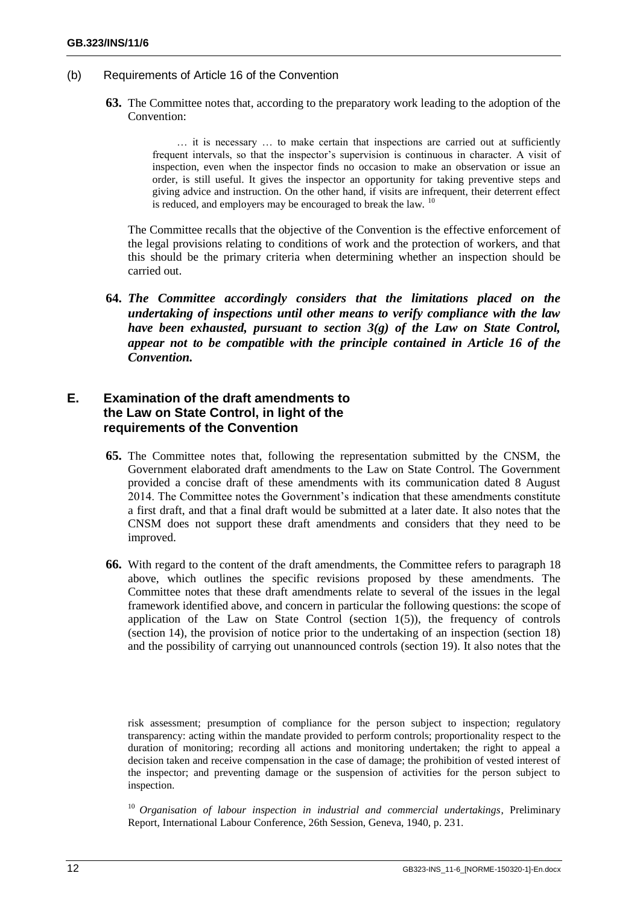- <span id="page-13-0"></span>(b) Requirements of Article 16 of the Convention
	- **63.** The Committee notes that, according to the preparatory work leading to the adoption of the Convention:

… it is necessary … to make certain that inspections are carried out at sufficiently frequent intervals, so that the inspector's supervision is continuous in character. A visit of inspection, even when the inspector finds no occasion to make an observation or issue an order, is still useful. It gives the inspector an opportunity for taking preventive steps and giving advice and instruction. On the other hand, if visits are infrequent, their deterrent effect is reduced, and employers may be encouraged to break the law. <sup>10</sup>

The Committee recalls that the objective of the Convention is the effective enforcement of the legal provisions relating to conditions of work and the protection of workers, and that this should be the primary criteria when determining whether an inspection should be carried out.

**64.** *The Committee accordingly considers that the limitations placed on the undertaking of inspections until other means to verify compliance with the law have been exhausted, pursuant to section 3(g) of the Law on State Control, appear not to be compatible with the principle contained in Article 16 of the Convention.*

## <span id="page-13-1"></span>**E. Examination of the draft amendments to the Law on State Control, in light of the requirements of the Convention**

- **65.** The Committee notes that, following the representation submitted by the CNSM, the Government elaborated draft amendments to the Law on State Control. The Government provided a concise draft of these amendments with its communication dated 8 August 2014. The Committee notes the Government's indication that these amendments constitute a first draft, and that a final draft would be submitted at a later date. It also notes that the CNSM does not support these draft amendments and considers that they need to be improved.
- **66.** With regard to the content of the draft amendments, the Committee refers to paragraph 18 above, which outlines the specific revisions proposed by these amendments. The Committee notes that these draft amendments relate to several of the issues in the legal framework identified above, and concern in particular the following questions: the scope of application of the Law on State Control (section  $1(5)$ ), the frequency of controls (section 14), the provision of notice prior to the undertaking of an inspection (section 18) and the possibility of carrying out unannounced controls (section 19). It also notes that the

risk assessment; presumption of compliance for the person subject to inspection; regulatory transparency: acting within the mandate provided to perform controls; proportionality respect to the duration of monitoring; recording all actions and monitoring undertaken; the right to appeal a decision taken and receive compensation in the case of damage; the prohibition of vested interest of the inspector; and preventing damage or the suspension of activities for the person subject to inspection.

<sup>10</sup> *Organisation of labour inspection in industrial and commercial undertakings*, Preliminary Report, International Labour Conference, 26th Session, Geneva, 1940, p. 231.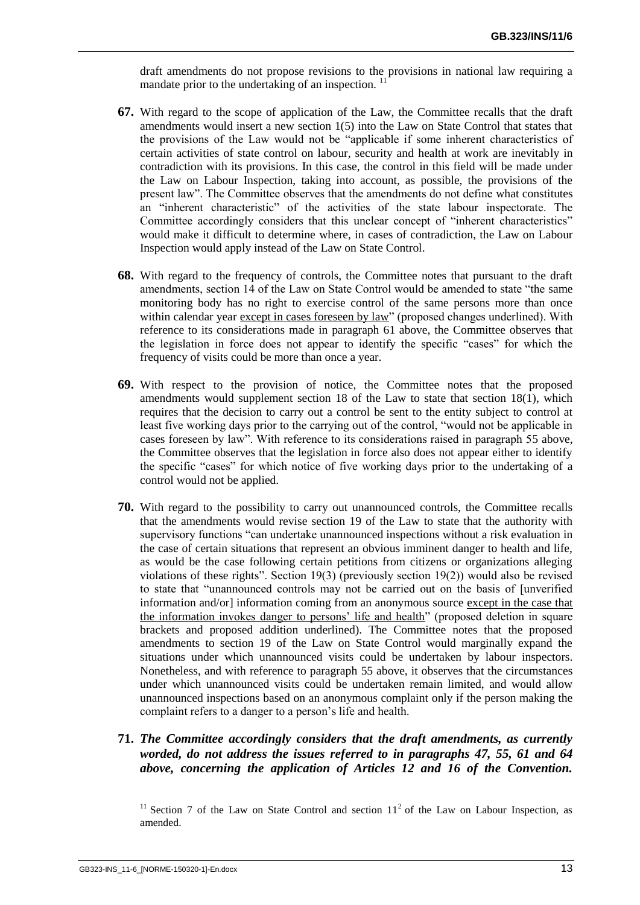draft amendments do not propose revisions to the provisions in national law requiring a mandate prior to the undertaking of an inspection.  $\frac{1}{1}$ 

- **67.** With regard to the scope of application of the Law, the Committee recalls that the draft amendments would insert a new section 1(5) into the Law on State Control that states that the provisions of the Law would not be "applicable if some inherent characteristics of certain activities of state control on labour, security and health at work are inevitably in contradiction with its provisions. In this case, the control in this field will be made under the Law on Labour Inspection, taking into account, as possible, the provisions of the present law". The Committee observes that the amendments do not define what constitutes an "inherent characteristic" of the activities of the state labour inspectorate. The Committee accordingly considers that this unclear concept of "inherent characteristics" would make it difficult to determine where, in cases of contradiction, the Law on Labour Inspection would apply instead of the Law on State Control.
- **68.** With regard to the frequency of controls, the Committee notes that pursuant to the draft amendments, section 14 of the Law on State Control would be amended to state "the same monitoring body has no right to exercise control of the same persons more than once within calendar year except in cases foreseen by law" (proposed changes underlined). With reference to its considerations made in paragraph 61 above, the Committee observes that the legislation in force does not appear to identify the specific "cases" for which the frequency of visits could be more than once a year.
- **69.** With respect to the provision of notice, the Committee notes that the proposed amendments would supplement section 18 of the Law to state that section 18(1), which requires that the decision to carry out a control be sent to the entity subject to control at least five working days prior to the carrying out of the control, "would not be applicable in cases foreseen by law". With reference to its considerations raised in paragraph 55 above, the Committee observes that the legislation in force also does not appear either to identify the specific "cases" for which notice of five working days prior to the undertaking of a control would not be applied.
- **70.** With regard to the possibility to carry out unannounced controls, the Committee recalls that the amendments would revise section 19 of the Law to state that the authority with supervisory functions "can undertake unannounced inspections without a risk evaluation in the case of certain situations that represent an obvious imminent danger to health and life, as would be the case following certain petitions from citizens or organizations alleging violations of these rights". Section 19(3) (previously section 19(2)) would also be revised to state that "unannounced controls may not be carried out on the basis of [unverified information and/or] information coming from an anonymous source except in the case that the information invokes danger to persons' life and health" (proposed deletion in square brackets and proposed addition underlined). The Committee notes that the proposed amendments to section 19 of the Law on State Control would marginally expand the situations under which unannounced visits could be undertaken by labour inspectors. Nonetheless, and with reference to paragraph 55 above, it observes that the circumstances under which unannounced visits could be undertaken remain limited, and would allow unannounced inspections based on an anonymous complaint only if the person making the complaint refers to a danger to a person's life and health.

# **71.** *The Committee accordingly considers that the draft amendments, as currently worded, do not address the issues referred to in paragraphs 47, 55, 61 and 64 above, concerning the application of Articles 12 and 16 of the Convention.*

<sup>11</sup> Section 7 of the Law on State Control and section  $11<sup>2</sup>$  of the Law on Labour Inspection, as amended.